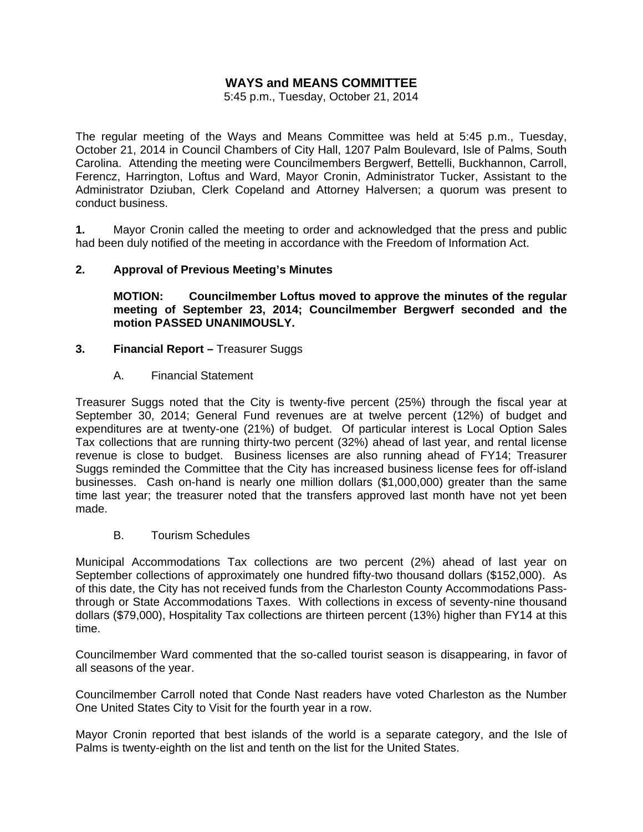# **WAYS and MEANS COMMITTEE**

5:45 p.m., Tuesday, October 21, 2014

The regular meeting of the Ways and Means Committee was held at 5:45 p.m., Tuesday, October 21, 2014 in Council Chambers of City Hall, 1207 Palm Boulevard, Isle of Palms, South Carolina. Attending the meeting were Councilmembers Bergwerf, Bettelli, Buckhannon, Carroll, Ferencz, Harrington, Loftus and Ward, Mayor Cronin, Administrator Tucker, Assistant to the Administrator Dziuban, Clerk Copeland and Attorney Halversen; a quorum was present to conduct business.

**1.** Mayor Cronin called the meeting to order and acknowledged that the press and public had been duly notified of the meeting in accordance with the Freedom of Information Act.

### **2. Approval of Previous Meeting's Minutes**

 **MOTION: Councilmember Loftus moved to approve the minutes of the regular meeting of September 23, 2014; Councilmember Bergwerf seconded and the motion PASSED UNANIMOUSLY.** 

#### **3. Financial Report – Treasurer Suggs**

A. Financial Statement

Treasurer Suggs noted that the City is twenty-five percent (25%) through the fiscal year at September 30, 2014; General Fund revenues are at twelve percent (12%) of budget and expenditures are at twenty-one (21%) of budget. Of particular interest is Local Option Sales Tax collections that are running thirty-two percent (32%) ahead of last year, and rental license revenue is close to budget. Business licenses are also running ahead of FY14; Treasurer Suggs reminded the Committee that the City has increased business license fees for off-island businesses. Cash on-hand is nearly one million dollars (\$1,000,000) greater than the same time last year; the treasurer noted that the transfers approved last month have not yet been made.

#### B. Tourism Schedules

Municipal Accommodations Tax collections are two percent (2%) ahead of last year on September collections of approximately one hundred fifty-two thousand dollars (\$152,000). As of this date, the City has not received funds from the Charleston County Accommodations Passthrough or State Accommodations Taxes. With collections in excess of seventy-nine thousand dollars (\$79,000), Hospitality Tax collections are thirteen percent (13%) higher than FY14 at this time.

Councilmember Ward commented that the so-called tourist season is disappearing, in favor of all seasons of the year.

Councilmember Carroll noted that Conde Nast readers have voted Charleston as the Number One United States City to Visit for the fourth year in a row.

Mayor Cronin reported that best islands of the world is a separate category, and the Isle of Palms is twenty-eighth on the list and tenth on the list for the United States.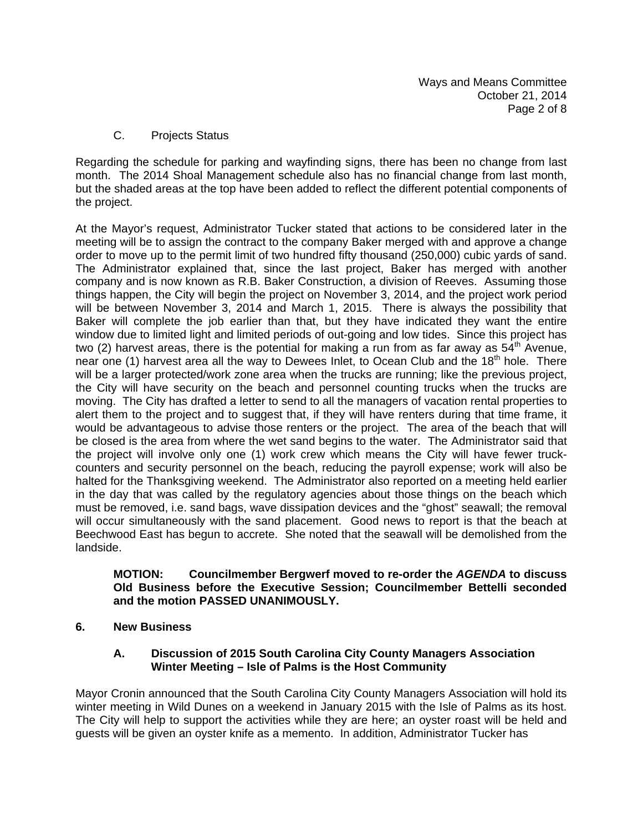C. Projects Status

Regarding the schedule for parking and wayfinding signs, there has been no change from last month. The 2014 Shoal Management schedule also has no financial change from last month, but the shaded areas at the top have been added to reflect the different potential components of the project.

At the Mayor's request, Administrator Tucker stated that actions to be considered later in the meeting will be to assign the contract to the company Baker merged with and approve a change order to move up to the permit limit of two hundred fifty thousand (250,000) cubic yards of sand. The Administrator explained that, since the last project, Baker has merged with another company and is now known as R.B. Baker Construction, a division of Reeves. Assuming those things happen, the City will begin the project on November 3, 2014, and the project work period will be between November 3, 2014 and March 1, 2015. There is always the possibility that Baker will complete the job earlier than that, but they have indicated they want the entire window due to limited light and limited periods of out-going and low tides. Since this project has two (2) harvest areas, there is the potential for making a run from as far away as  $54<sup>th</sup>$  Avenue, near one (1) harvest area all the way to Dewees Inlet, to Ocean Club and the 18<sup>th</sup> hole. There will be a larger protected/work zone area when the trucks are running; like the previous project, the City will have security on the beach and personnel counting trucks when the trucks are moving. The City has drafted a letter to send to all the managers of vacation rental properties to alert them to the project and to suggest that, if they will have renters during that time frame, it would be advantageous to advise those renters or the project. The area of the beach that will be closed is the area from where the wet sand begins to the water. The Administrator said that the project will involve only one (1) work crew which means the City will have fewer truckcounters and security personnel on the beach, reducing the payroll expense; work will also be halted for the Thanksgiving weekend. The Administrator also reported on a meeting held earlier in the day that was called by the regulatory agencies about those things on the beach which must be removed, i.e. sand bags, wave dissipation devices and the "ghost" seawall; the removal will occur simultaneously with the sand placement. Good news to report is that the beach at Beechwood East has begun to accrete. She noted that the seawall will be demolished from the landside.

#### **MOTION: Councilmember Bergwerf moved to re-order the** *AGENDA* **to discuss Old Business before the Executive Session; Councilmember Bettelli seconded and the motion PASSED UNANIMOUSLY.**

**6. New Business** 

### **A. Discussion of 2015 South Carolina City County Managers Association Winter Meeting – Isle of Palms is the Host Community**

Mayor Cronin announced that the South Carolina City County Managers Association will hold its winter meeting in Wild Dunes on a weekend in January 2015 with the Isle of Palms as its host. The City will help to support the activities while they are here; an oyster roast will be held and guests will be given an oyster knife as a memento. In addition, Administrator Tucker has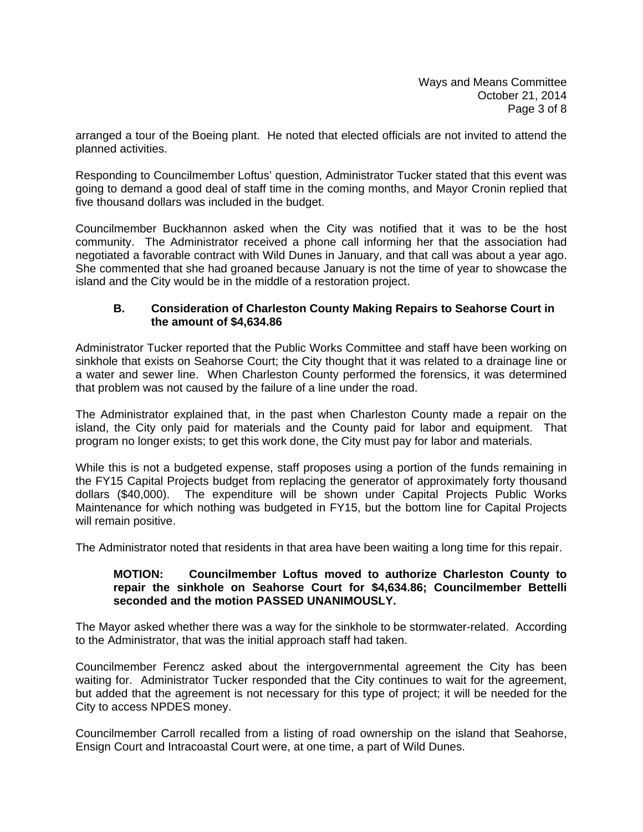arranged a tour of the Boeing plant. He noted that elected officials are not invited to attend the planned activities.

Responding to Councilmember Loftus' question, Administrator Tucker stated that this event was going to demand a good deal of staff time in the coming months, and Mayor Cronin replied that five thousand dollars was included in the budget.

Councilmember Buckhannon asked when the City was notified that it was to be the host community. The Administrator received a phone call informing her that the association had negotiated a favorable contract with Wild Dunes in January, and that call was about a year ago. She commented that she had groaned because January is not the time of year to showcase the island and the City would be in the middle of a restoration project.

### **B. Consideration of Charleston County Making Repairs to Seahorse Court in the amount of \$4,634.86**

Administrator Tucker reported that the Public Works Committee and staff have been working on sinkhole that exists on Seahorse Court; the City thought that it was related to a drainage line or a water and sewer line. When Charleston County performed the forensics, it was determined that problem was not caused by the failure of a line under the road.

The Administrator explained that, in the past when Charleston County made a repair on the island, the City only paid for materials and the County paid for labor and equipment. That program no longer exists; to get this work done, the City must pay for labor and materials.

While this is not a budgeted expense, staff proposes using a portion of the funds remaining in the FY15 Capital Projects budget from replacing the generator of approximately forty thousand dollars (\$40,000). The expenditure will be shown under Capital Projects Public Works Maintenance for which nothing was budgeted in FY15, but the bottom line for Capital Projects will remain positive.

The Administrator noted that residents in that area have been waiting a long time for this repair.

### **MOTION: Councilmember Loftus moved to authorize Charleston County to repair the sinkhole on Seahorse Court for \$4,634.86; Councilmember Bettelli seconded and the motion PASSED UNANIMOUSLY.**

The Mayor asked whether there was a way for the sinkhole to be stormwater-related. According to the Administrator, that was the initial approach staff had taken.

Councilmember Ferencz asked about the intergovernmental agreement the City has been waiting for. Administrator Tucker responded that the City continues to wait for the agreement, but added that the agreement is not necessary for this type of project; it will be needed for the City to access NPDES money.

Councilmember Carroll recalled from a listing of road ownership on the island that Seahorse, Ensign Court and Intracoastal Court were, at one time, a part of Wild Dunes.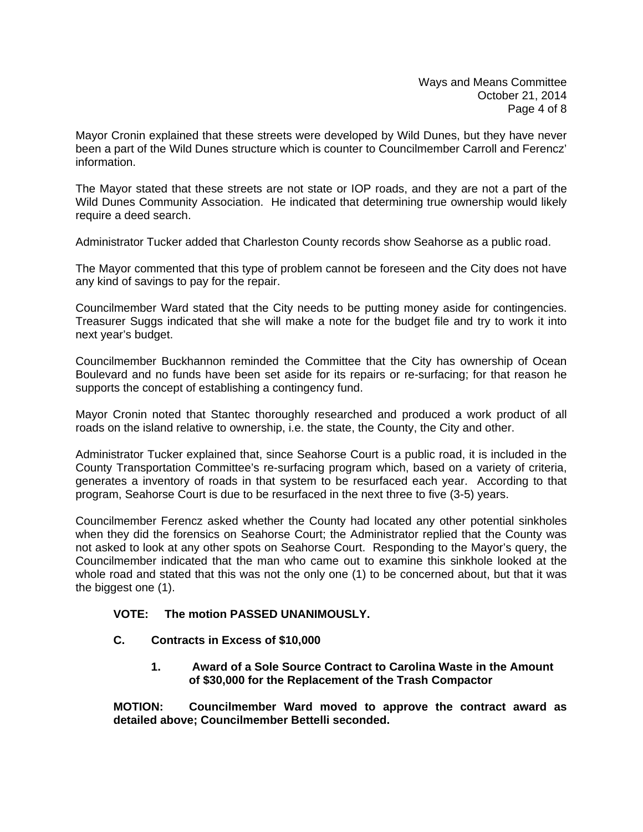Mayor Cronin explained that these streets were developed by Wild Dunes, but they have never been a part of the Wild Dunes structure which is counter to Councilmember Carroll and Ferencz' information.

The Mayor stated that these streets are not state or IOP roads, and they are not a part of the Wild Dunes Community Association. He indicated that determining true ownership would likely require a deed search.

Administrator Tucker added that Charleston County records show Seahorse as a public road.

The Mayor commented that this type of problem cannot be foreseen and the City does not have any kind of savings to pay for the repair.

Councilmember Ward stated that the City needs to be putting money aside for contingencies. Treasurer Suggs indicated that she will make a note for the budget file and try to work it into next year's budget.

Councilmember Buckhannon reminded the Committee that the City has ownership of Ocean Boulevard and no funds have been set aside for its repairs or re-surfacing; for that reason he supports the concept of establishing a contingency fund.

Mayor Cronin noted that Stantec thoroughly researched and produced a work product of all roads on the island relative to ownership, i.e. the state, the County, the City and other.

Administrator Tucker explained that, since Seahorse Court is a public road, it is included in the County Transportation Committee's re-surfacing program which, based on a variety of criteria, generates a inventory of roads in that system to be resurfaced each year. According to that program, Seahorse Court is due to be resurfaced in the next three to five (3-5) years.

Councilmember Ferencz asked whether the County had located any other potential sinkholes when they did the forensics on Seahorse Court; the Administrator replied that the County was not asked to look at any other spots on Seahorse Court. Responding to the Mayor's query, the Councilmember indicated that the man who came out to examine this sinkhole looked at the whole road and stated that this was not the only one (1) to be concerned about, but that it was the biggest one (1).

## **VOTE: The motion PASSED UNANIMOUSLY.**

## **C. Contracts in Excess of \$10,000**

 **1. Award of a Sole Source Contract to Carolina Waste in the Amount of \$30,000 for the Replacement of the Trash Compactor** 

**MOTION: Councilmember Ward moved to approve the contract award as detailed above; Councilmember Bettelli seconded.**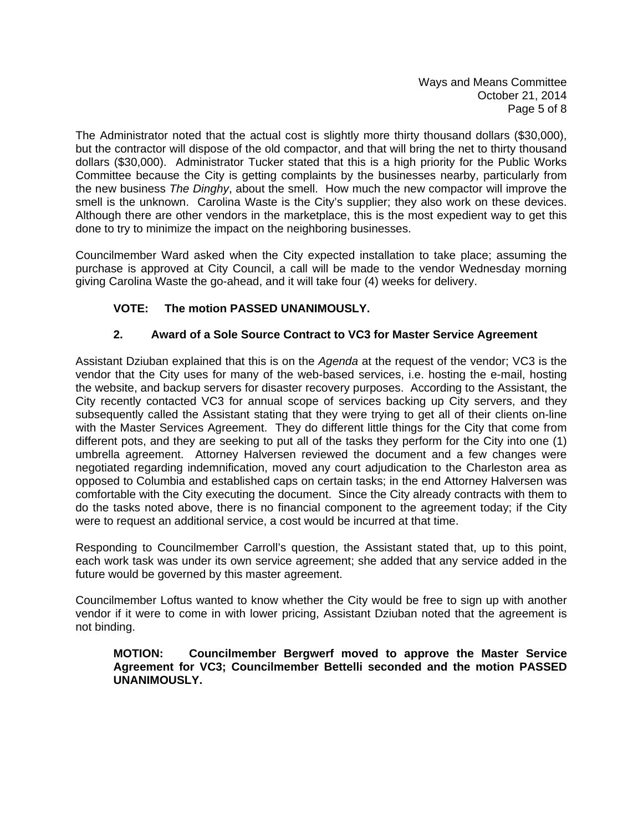Ways and Means Committee October 21, 2014 Page 5 of 8

The Administrator noted that the actual cost is slightly more thirty thousand dollars (\$30,000), but the contractor will dispose of the old compactor, and that will bring the net to thirty thousand dollars (\$30,000). Administrator Tucker stated that this is a high priority for the Public Works Committee because the City is getting complaints by the businesses nearby, particularly from the new business *The Dinghy*, about the smell. How much the new compactor will improve the smell is the unknown. Carolina Waste is the City's supplier; they also work on these devices. Although there are other vendors in the marketplace, this is the most expedient way to get this done to try to minimize the impact on the neighboring businesses.

Councilmember Ward asked when the City expected installation to take place; assuming the purchase is approved at City Council, a call will be made to the vendor Wednesday morning giving Carolina Waste the go-ahead, and it will take four (4) weeks for delivery.

# **VOTE: The motion PASSED UNANIMOUSLY.**

# **2. Award of a Sole Source Contract to VC3 for Master Service Agreement**

Assistant Dziuban explained that this is on the *Agenda* at the request of the vendor; VC3 is the vendor that the City uses for many of the web-based services, i.e. hosting the e-mail, hosting the website, and backup servers for disaster recovery purposes. According to the Assistant, the City recently contacted VC3 for annual scope of services backing up City servers, and they subsequently called the Assistant stating that they were trying to get all of their clients on-line with the Master Services Agreement. They do different little things for the City that come from different pots, and they are seeking to put all of the tasks they perform for the City into one (1) umbrella agreement. Attorney Halversen reviewed the document and a few changes were negotiated regarding indemnification, moved any court adjudication to the Charleston area as opposed to Columbia and established caps on certain tasks; in the end Attorney Halversen was comfortable with the City executing the document. Since the City already contracts with them to do the tasks noted above, there is no financial component to the agreement today; if the City were to request an additional service, a cost would be incurred at that time.

Responding to Councilmember Carroll's question, the Assistant stated that, up to this point, each work task was under its own service agreement; she added that any service added in the future would be governed by this master agreement.

Councilmember Loftus wanted to know whether the City would be free to sign up with another vendor if it were to come in with lower pricing, Assistant Dziuban noted that the agreement is not binding.

**MOTION: Councilmember Bergwerf moved to approve the Master Service Agreement for VC3; Councilmember Bettelli seconded and the motion PASSED UNANIMOUSLY.**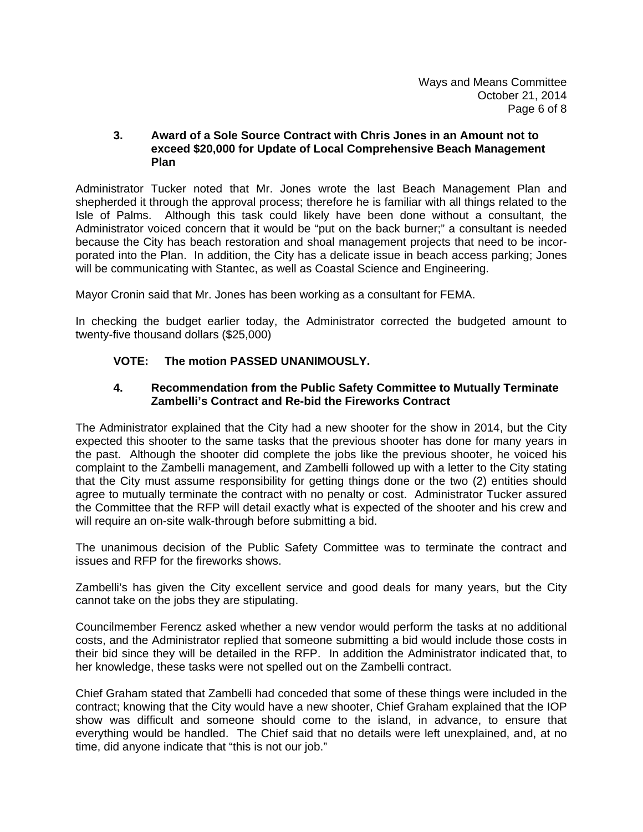### **3. Award of a Sole Source Contract with Chris Jones in an Amount not to exceed \$20,000 for Update of Local Comprehensive Beach Management Plan**

Administrator Tucker noted that Mr. Jones wrote the last Beach Management Plan and shepherded it through the approval process; therefore he is familiar with all things related to the Isle of Palms. Although this task could likely have been done without a consultant, the Administrator voiced concern that it would be "put on the back burner;" a consultant is needed because the City has beach restoration and shoal management projects that need to be incorporated into the Plan. In addition, the City has a delicate issue in beach access parking; Jones will be communicating with Stantec, as well as Coastal Science and Engineering.

Mayor Cronin said that Mr. Jones has been working as a consultant for FEMA.

In checking the budget earlier today, the Administrator corrected the budgeted amount to twenty-five thousand dollars (\$25,000)

## **VOTE: The motion PASSED UNANIMOUSLY.**

### **4. Recommendation from the Public Safety Committee to Mutually Terminate Zambelli's Contract and Re-bid the Fireworks Contract**

The Administrator explained that the City had a new shooter for the show in 2014, but the City expected this shooter to the same tasks that the previous shooter has done for many years in the past. Although the shooter did complete the jobs like the previous shooter, he voiced his complaint to the Zambelli management, and Zambelli followed up with a letter to the City stating that the City must assume responsibility for getting things done or the two (2) entities should agree to mutually terminate the contract with no penalty or cost. Administrator Tucker assured the Committee that the RFP will detail exactly what is expected of the shooter and his crew and will require an on-site walk-through before submitting a bid.

The unanimous decision of the Public Safety Committee was to terminate the contract and issues and RFP for the fireworks shows.

Zambelli's has given the City excellent service and good deals for many years, but the City cannot take on the jobs they are stipulating.

Councilmember Ferencz asked whether a new vendor would perform the tasks at no additional costs, and the Administrator replied that someone submitting a bid would include those costs in their bid since they will be detailed in the RFP. In addition the Administrator indicated that, to her knowledge, these tasks were not spelled out on the Zambelli contract.

Chief Graham stated that Zambelli had conceded that some of these things were included in the contract; knowing that the City would have a new shooter, Chief Graham explained that the IOP show was difficult and someone should come to the island, in advance, to ensure that everything would be handled. The Chief said that no details were left unexplained, and, at no time, did anyone indicate that "this is not our job."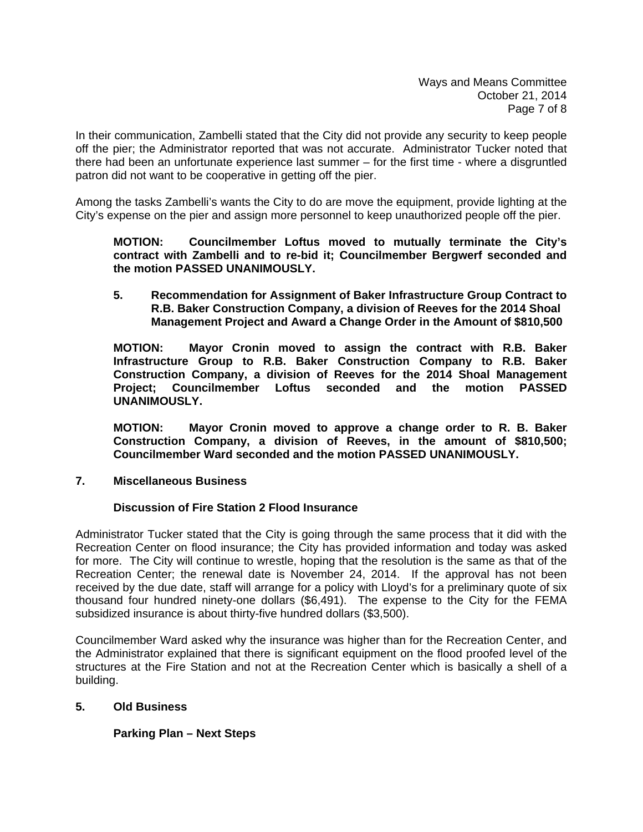In their communication, Zambelli stated that the City did not provide any security to keep people off the pier; the Administrator reported that was not accurate. Administrator Tucker noted that there had been an unfortunate experience last summer – for the first time - where a disgruntled patron did not want to be cooperative in getting off the pier.

Among the tasks Zambelli's wants the City to do are move the equipment, provide lighting at the City's expense on the pier and assign more personnel to keep unauthorized people off the pier.

### **MOTION: Councilmember Loftus moved to mutually terminate the City's contract with Zambelli and to re-bid it; Councilmember Bergwerf seconded and the motion PASSED UNANIMOUSLY.**

 **5. Recommendation for Assignment of Baker Infrastructure Group Contract to R.B. Baker Construction Company, a division of Reeves for the 2014 Shoal Management Project and Award a Change Order in the Amount of \$810,500** 

 **MOTION: Mayor Cronin moved to assign the contract with R.B. Baker Infrastructure Group to R.B. Baker Construction Company to R.B. Baker Construction Company, a division of Reeves for the 2014 Shoal Management Project; Councilmember Loftus seconded and the motion PASSED UNANIMOUSLY.** 

 **MOTION: Mayor Cronin moved to approve a change order to R. B. Baker Construction Company, a division of Reeves, in the amount of \$810,500; Councilmember Ward seconded and the motion PASSED UNANIMOUSLY.** 

## **7. Miscellaneous Business**

## **Discussion of Fire Station 2 Flood Insurance**

Administrator Tucker stated that the City is going through the same process that it did with the Recreation Center on flood insurance; the City has provided information and today was asked for more. The City will continue to wrestle, hoping that the resolution is the same as that of the Recreation Center; the renewal date is November 24, 2014. If the approval has not been received by the due date, staff will arrange for a policy with Lloyd's for a preliminary quote of six thousand four hundred ninety-one dollars (\$6,491). The expense to the City for the FEMA subsidized insurance is about thirty-five hundred dollars (\$3,500).

Councilmember Ward asked why the insurance was higher than for the Recreation Center, and the Administrator explained that there is significant equipment on the flood proofed level of the structures at the Fire Station and not at the Recreation Center which is basically a shell of a building.

## **5. Old Business**

# **Parking Plan – Next Steps**